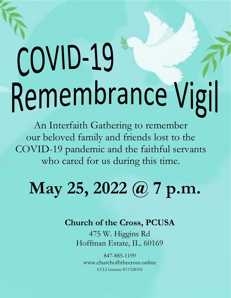# COVID-19 Remembrance Vigil

An Interfaith Gathering to remember our beloved family and friends lost to the COVID-19 pandemic and the faithful servants who cared for us during this time.

## **May 25, 2022 @ 7 p.m.**

#### **Church of the Cross, PCUSA**

475 W. Higgins Rd Hoffman Estate, IL. 60169

847-885-1199 [www.churchofhthecross.online](http://www.churchofhthecross.online/) CCLI License #11328105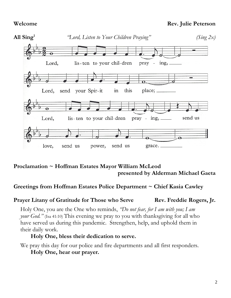#### **Welcome Rev. Julie Peterson**



#### **Proclamation ~ Hoffman Estates Mayor William McLeod presented by Alderman Michael Gaeta**

#### **Greetings from Hoffman Estates Police Department ~ Chief Kasia Cawley**

#### **Prayer** Litany of Gratitude for Those who Serve **Rev.** Freddie Rogers, Jr.

Holy One, you are the One who reminds, *"Do not fear, for I am with you; I am your God.*" (Isa 41:10) This evening we pray to you with thanksgiving for all who have served us during this pandemic. Strengthen, help, and uphold them in their daily work.

#### **Holy One, bless their dedication to serve.**

We pray this day for our police and fire departments and all first responders. **Holy One, hear our prayer.**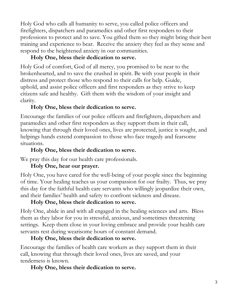Holy God who calls all humanity to serve, you called police officers and firefighters, dispatchers and paramedics and other first responders to their professions to protect and to save. You gifted them so they might bring their best training and experience to bear. Receive the anxiety they feel as they sense and respond to the heightened anxiety in our communities.

#### **Holy One, bless their dedication to serve.**

Holy God of comfort, God of all mercy, you promised to be near to the brokenhearted, and to save the crushed in spirit. Be with your people in their distress and protect those who respond to their calls for help. Guide, uphold, and assist police officers and first responders as they strive to keep citizens safe and healthy. Gift them with the wisdom of your insight and clarity.

#### **Holy One, bless their dedication to serve.**

Encourage the families of our police officers and firefighters, dispatchers and paramedics and other first responders as they support them in their call, knowing that through their loved ones, lives are protected, justice is sought, and helpings hands extend compassion to those who face tragedy and fearsome situations.

#### **Holy One, bless their dedication to serve.**

We pray this day for our health care professionals.

#### **Holy One, hear our prayer.**

Holy One, you have cared for the well-being of your people since the beginning of time. Your healing teaches us your compassion for our frailty. Thus, we pray this day for the faithful health care servants who willingly jeopardize their own, and their families' health and safety to confront sickness and disease.

#### **Holy One, bless their dedication to serve.**

Holy One, abide in and with all engaged in the healing sciences and arts. Bless them as they labor for you in stressful, anxious, and sometimes threatening settings. Keep them close in your loving embrace and provide your health care servants rest during wearisome hours of constant demand.

#### **Holy One, bless their dedication to serve.**

Encourage the families of health care workers as they support them in their call, knowing that through their loved ones, lives are saved, and your tenderness is known.

#### **Holy One, bless their dedication to serve.**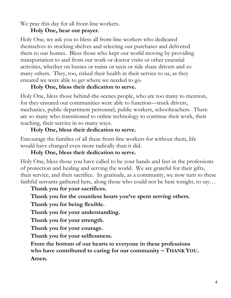We pray this day for all front-line workers.

#### **Holy One, hear our prayer.**

Holy One, we ask you to bless all front-line workers who dedicated themselves to stocking shelves and selecting our purchases and delivered them to our homes. Bless those who kept our world moving by providing transportation to and from our work or doctor visits or other essential activities, whether on busses or trains or taxis or ride share drivers and so many others. They, too, risked their health in their service to us, as they ensured we were able to get where we needed to go.

#### **Holy One, bless their dedication to serve.**

Holy One, bless those behind-the-scenes people, who are too many to mention, for they ensured our communities were able to function—truck drivers, mechanics, public department personnel, public workers, schoolteachers. There are so many who transitioned to online technology to continue their work, their teaching, their service in so many ways.

#### **Holy One, bless their dedication to serve.**

Encourage the families of all these front-line workers for without them, life would have changed even more radically than it did.

#### **Holy One, bless their dedication to serve.**

Holy One, bless those you have called to be your hands and feet in the professions of protection and healing and serving the world. We are grateful for their gifts, their service, and their sacrifice. In gratitude, as a community, we now turn to these faithful servants gathered here, along those who could not be here tonight, to say…

#### **Thank you for your sacrifices.**

#### **Thank you for the countless hours you've spent serving others.**

**Thank you for being flexible.**

**Thank you for your understanding.**

**Thank you for your strength.**

**Thank you for your courage.**

**Thank you for your selflessness.**

**From the bottom of our hearts to everyone in these professions who have contributed to caring for our community – THANK YOU. Amen.**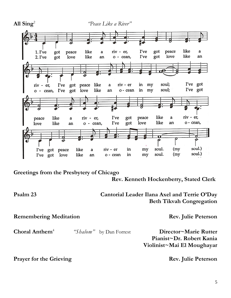

**Greetings from the Presbytery of Chicago** 

**Rev. Kenneth Hockenberry, Stated Clerk**

#### **Psalm 23 Cantorial Leader Ilana Axel and Terrie O'Day Beth Tikvah Congregation**

**Remembering Meditation Rev. Julie Peterson Choral Anthem**<sup>4</sup> *"Shalom"* by Dan Forrest **Director~Marie Rutter Pianist~Dr. Robert Kania Violinist~Mai El Moughayar**

**Prayer for the Grieving Rev.** Julie Peterson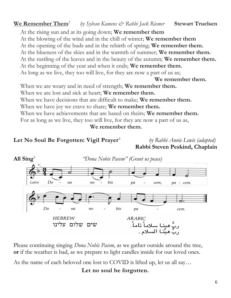#### **We Remember Them**<sup>3</sup> *by Sylvan Kamens & Rabbi Jack Riemer* **Stewart Truelsen**

At the rising sun and at its going down; **We remember them** At the blowing of the wind and in the chill of winter; **We remember them** At the opening of the buds and in the rebirth of spring; **We remember them.** At the blueness of the skies and in the warmth of summer; **We remember them.** At the rustling of the leaves and in the beauty of the autumn; **We remember them.** At the beginning of the year and when it ends; **We remember them.** As long as we live, they too will live, for they are now a part of us as;

**We remember them.**

When we are weary and in need of strength; **We remember them.** When we are lost and sick at heart; **We remember them.** When we have decisions that are difficult to make; **We remember them.** When we have joy we crave to share; **We remember them.** When we have achievements that are based on theirs; **We remember them.** For as long as we live, they too will live, for they are now a part of us as,

**We remember them.**

#### **Let No Soul Be Forgotten: Vigil Prayer**<sup>6</sup>

*by Rabbi Annie Lewis (adapted)* **Rabbi Steven Peskind, Chaplain**



Please continuing singing *Dona Nobis Pacem*, as we gather outside around the tree, **or** if the weather is bad, as we prepare to light candles inside for our loved ones.

As the name of each beloved one lost to COVID is lifted up, let us all say…

#### **Let no soul be forgotten.**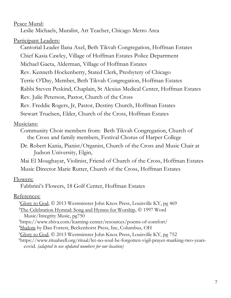#### Peace Mural:

Leslie Michaels, Muralist, Art Teacher, Chicago Metro Area

#### Participant Leaders:

Cantorial Leader Ilana Axel, Beth Tikvah Congregation, Hoffman Estates Chief Kasia Cawley, Village of Hoffman Estates Police Department Michael Gaeta, Alderman, Village of Hoffman Estates Rev. Kenneth Hockenberry, Stated Clerk, Presbytery of Chicago Terrie O'Day, Member, Beth Tikvah Congregation, Hoffman Estates Rabbi Steven Peskind, Chaplain, St Alexius Medical Center, Hoffman Estates Rev. Julie Peterson, Pastor, Church of the Cross Rev. Freddie Rogers, Jr, Pastor, Destiny Church, Hoffman Estates Stewart Truelsen, Elder, Church of the Cross, Hoffman Estates

#### Musicians:

Community Choir members from: Beth Tikvah Congregation, Church of the Cross and family members, Festival Chorus of Harper College

Dr. Robert Kania, Pianist/Organist, Church of the Cross and Music Chair at Judson University, Elgin,

Mai El Moughayar, Violinist, Friend of Church of the Cross, Hoffman Estates Music Director Marie Rutter, Church of the Cross, Hoffman Estates

#### Flowers:

Fabbrini's Flowers, 18 Golf Center, Hoffman Estates

#### References:

 $1$ Glory to God,  $\odot$  2013 Westminster John Knox Press, Louisville KY, pg 469 <sup>2</sup>The Celebration Hymnal: Song and Hymns for Worship, © 1997 Word Music/Integrity Music, pg750 <sup>3</sup>https://www.shiva.com/learning-center/resources/poems-of-comfort/ <sup>4</sup>Shalom by Dan Forrest, Beckenhorst Press, Inc, Columbus, OH <sup>5</sup>Glory to God, © 2013 Westminster John Knox Press, Louisville KY, pg 752 6https://www.ritualwell.org/ritual/let-no-soul-be-forgotten-vigil-prayer-marking-two-yearscovid. *(adapted to use updated numbers for our location)*